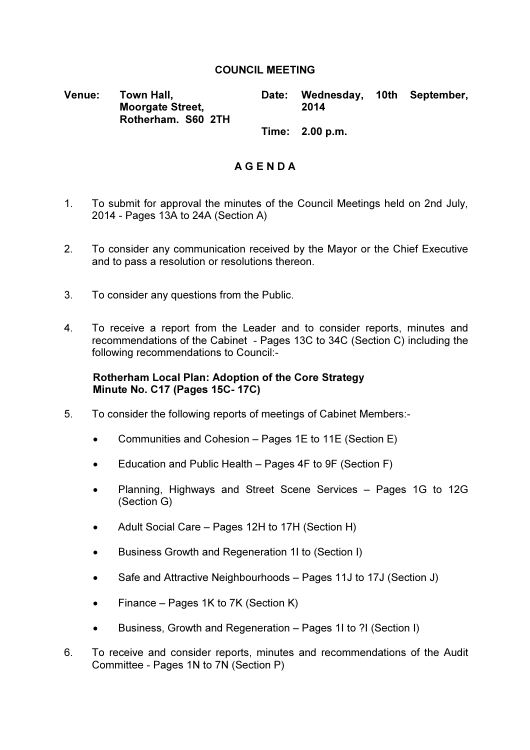## COUNCIL MEETING

Venue: Town Hall, Moorgate Street, Rotherham. S60 2TH Date: Wednesday, 10th September, 2014

Time: 2.00 p.m.

## A G E N D A

- 1. To submit for approval the minutes of the Council Meetings held on 2nd July, 2014 - Pages 13A to 24A (Section A)
- 2. To consider any communication received by the Mayor or the Chief Executive and to pass a resolution or resolutions thereon.
- 3. To consider any questions from the Public.
- 4. To receive a report from the Leader and to consider reports, minutes and recommendations of the Cabinet - Pages 13C to 34C (Section C) including the following recommendations to Council:-

## Rotherham Local Plan: Adoption of the Core Strategy Minute No. C17 (Pages 15C- 17C)

- 5. To consider the following reports of meetings of Cabinet Members:-
	- Communities and Cohesion Pages 1E to 11E (Section E)
	- Education and Public Health Pages 4F to 9F (Section F)
	- Planning, Highways and Street Scene Services Pages 1G to 12G (Section G)
	- Adult Social Care Pages 12H to 17H (Section H)
	- Business Growth and Regeneration 1I to (Section I)
	- Safe and Attractive Neighbourhoods Pages 11J to 17J (Section J)
	- Finance Pages 1K to 7K (Section K)
	- Business, Growth and Regeneration Pages 1I to ?I (Section I)
- 6. To receive and consider reports, minutes and recommendations of the Audit Committee - Pages 1N to 7N (Section P)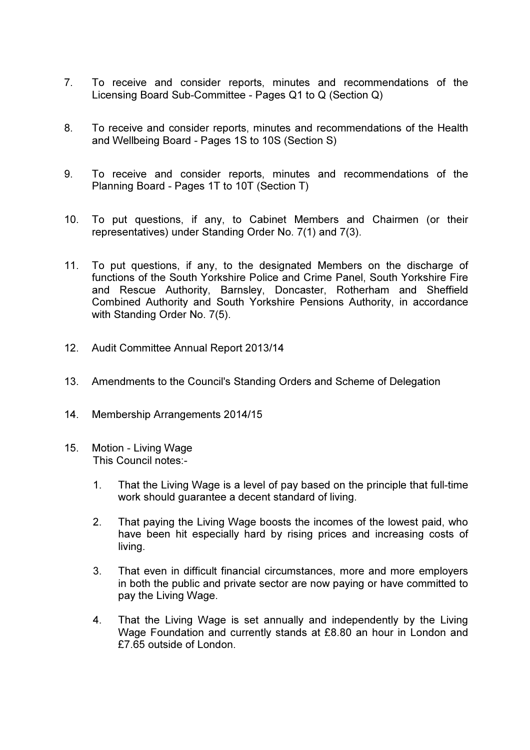- 7. To receive and consider reports, minutes and recommendations of the Licensing Board Sub-Committee - Pages Q1 to Q (Section Q)
- 8. To receive and consider reports, minutes and recommendations of the Health and Wellbeing Board - Pages 1S to 10S (Section S)
- 9. To receive and consider reports, minutes and recommendations of the Planning Board - Pages 1T to 10T (Section T)
- 10. To put questions, if any, to Cabinet Members and Chairmen (or their representatives) under Standing Order No. 7(1) and 7(3).
- 11. To put questions, if any, to the designated Members on the discharge of functions of the South Yorkshire Police and Crime Panel, South Yorkshire Fire and Rescue Authority, Barnsley, Doncaster, Rotherham and Sheffield Combined Authority and South Yorkshire Pensions Authority, in accordance with Standing Order No. 7(5).
- 12. Audit Committee Annual Report 2013/14
- 13. Amendments to the Council's Standing Orders and Scheme of Delegation
- 14. Membership Arrangements 2014/15
- 15. Motion Living Wage This Council notes:-
	- 1. That the Living Wage is a level of pay based on the principle that full-time work should guarantee a decent standard of living.
	- 2. That paying the Living Wage boosts the incomes of the lowest paid, who have been hit especially hard by rising prices and increasing costs of living.
	- 3. That even in difficult financial circumstances, more and more employers in both the public and private sector are now paying or have committed to pay the Living Wage.
	- 4. That the Living Wage is set annually and independently by the Living Wage Foundation and currently stands at £8.80 an hour in London and £7.65 outside of London.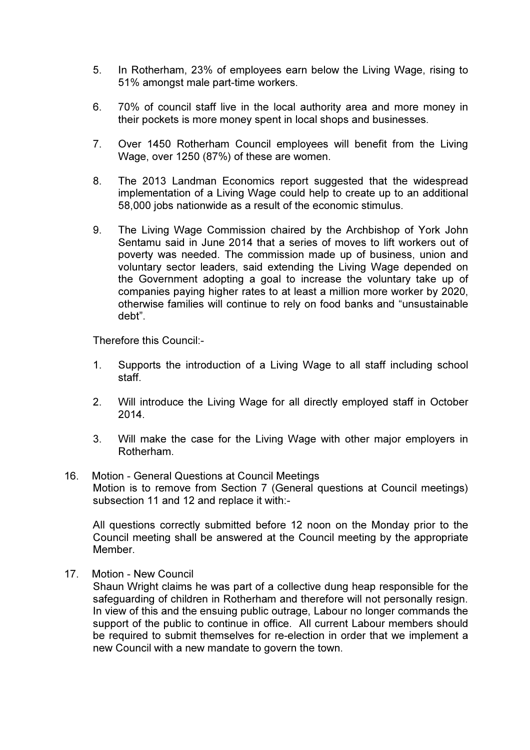- 5. In Rotherham, 23% of employees earn below the Living Wage, rising to 51% amongst male part-time workers.
- 6. 70% of council staff live in the local authority area and more money in their pockets is more money spent in local shops and businesses.
- 7. Over 1450 Rotherham Council employees will benefit from the Living Wage, over 1250 (87%) of these are women.
- 8. The 2013 Landman Economics report suggested that the widespread implementation of a Living Wage could help to create up to an additional 58,000 jobs nationwide as a result of the economic stimulus.
- 9. The Living Wage Commission chaired by the Archbishop of York John Sentamu said in June 2014 that a series of moves to lift workers out of poverty was needed. The commission made up of business, union and voluntary sector leaders, said extending the Living Wage depended on the Government adopting a goal to increase the voluntary take up of companies paying higher rates to at least a million more worker by 2020, otherwise families will continue to rely on food banks and "unsustainable debt".

Therefore this Council:-

- 1. Supports the introduction of a Living Wage to all staff including school staff.
- 2. Will introduce the Living Wage for all directly employed staff in October 2014.
- 3. Will make the case for the Living Wage with other major employers in Rotherham.
- 16. Motion General Questions at Council Meetings Motion is to remove from Section 7 (General questions at Council meetings) subsection 11 and 12 and replace it with:-

All questions correctly submitted before 12 noon on the Monday prior to the Council meeting shall be answered at the Council meeting by the appropriate Member.

17. Motion - New Council

Shaun Wright claims he was part of a collective dung heap responsible for the safeguarding of children in Rotherham and therefore will not personally resign. In view of this and the ensuing public outrage, Labour no longer commands the support of the public to continue in office. All current Labour members should be required to submit themselves for re-election in order that we implement a new Council with a new mandate to govern the town.